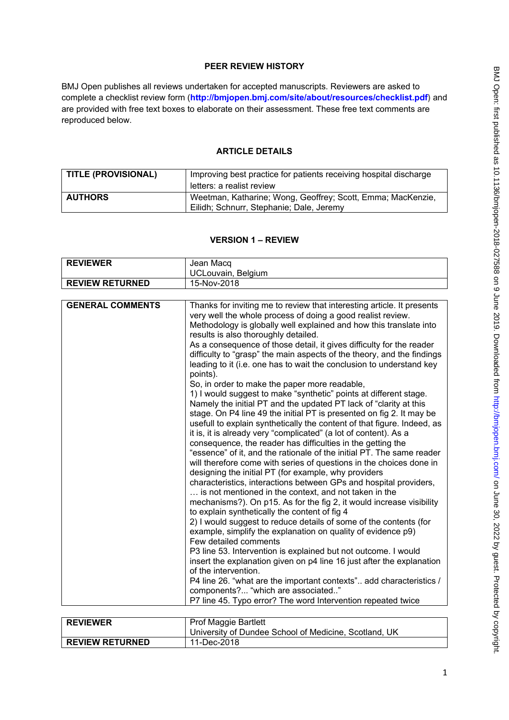# **PEER REVIEW HISTORY**

BMJ Open publishes all reviews undertaken for accepted manuscripts. Reviewers are asked to complete a checklist review form (**[http://bmjopen.bmj.com/site/about/resources/checklist.pdf\)](http://bmjopen.bmj.com/site/about/resources/checklist.pdf)** and are provided with free text boxes to elaborate on their assessment. These free text comments are reproduced below.

### **ARTICLE DETAILS**

| TITLE (PROVISIONAL) | Improving best practice for patients receiving hospital discharge<br>letters: a realist review          |
|---------------------|---------------------------------------------------------------------------------------------------------|
| <b>AUTHORS</b>      | Weetman, Katharine; Wong, Geoffrey; Scott, Emma; MacKenzie,<br>Eilidh; Schnurr, Stephanie; Dale, Jeremy |

### **VERSION 1 – REVIEW**

| <b>REVIEWER</b>        | Jean Macq<br>UCLouvain, Belgium |
|------------------------|---------------------------------|
| <b>REVIEW RETURNED</b> | 15-Nov-2018                     |

| <b>GENERAL COMMENTS</b><br>Thanks for inviting me to review that interesting article. It presents<br>very well the whole process of doing a good realist review.<br>Methodology is globally well explained and how this translate into<br>results is also thoroughly detailed.<br>As a consequence of those detail, it gives difficulty for the reader<br>difficulty to "grasp" the main aspects of the theory, and the findings<br>leading to it (i.e. one has to wait the conclusion to understand key<br>points).<br>So, in order to make the paper more readable,<br>1) I would suggest to make "synthetic" points at different stage.<br>Namely the initial PT and the updated PT lack of "clarity at this<br>stage. On P4 line 49 the initial PT is presented on fig 2. It may be<br>usefull to explain synthetically the content of that figure. Indeed, as<br>it is, it is already very "complicated" (a lot of content). As a<br>consequence, the reader has difficulties in the getting the<br>"essence" of it, and the rationale of the initial PT. The same reader<br>will therefore come with series of questions in the choices done in<br>designing the initial PT (for example, why providers<br>characteristics, interactions between GPs and hospital providers,<br>is not mentioned in the context, and not taken in the<br>mechanisms?). On p15. As for the fig 2, it would increase visibility<br>to explain synthetically the content of fig 4<br>2) I would suggest to reduce details of some of the contents (for<br>example, simplify the explanation on quality of evidence p9)<br>Few detailed comments<br>P3 line 53. Intervention is explained but not outcome. I would<br>insert the explanation given on p4 line 16 just after the explanation<br>of the intervention.<br>P4 line 26. "what are the important contexts" add characteristics /<br>components? "which are associated"<br>P7 line 45. Typo error? The word Intervention repeated twice |
|------------------------------------------------------------------------------------------------------------------------------------------------------------------------------------------------------------------------------------------------------------------------------------------------------------------------------------------------------------------------------------------------------------------------------------------------------------------------------------------------------------------------------------------------------------------------------------------------------------------------------------------------------------------------------------------------------------------------------------------------------------------------------------------------------------------------------------------------------------------------------------------------------------------------------------------------------------------------------------------------------------------------------------------------------------------------------------------------------------------------------------------------------------------------------------------------------------------------------------------------------------------------------------------------------------------------------------------------------------------------------------------------------------------------------------------------------------------------------------------------------------------------------------------------------------------------------------------------------------------------------------------------------------------------------------------------------------------------------------------------------------------------------------------------------------------------------------------------------------------------------------------------------------------------------------------------------------------------------------|
|                                                                                                                                                                                                                                                                                                                                                                                                                                                                                                                                                                                                                                                                                                                                                                                                                                                                                                                                                                                                                                                                                                                                                                                                                                                                                                                                                                                                                                                                                                                                                                                                                                                                                                                                                                                                                                                                                                                                                                                    |

| <b>REVIEWER</b>        | <b>Prof Maggie Bartlett</b>                           |
|------------------------|-------------------------------------------------------|
|                        | University of Dundee School of Medicine, Scotland, UK |
| <b>REVIEW RETURNED</b> | 11-Dec-2018                                           |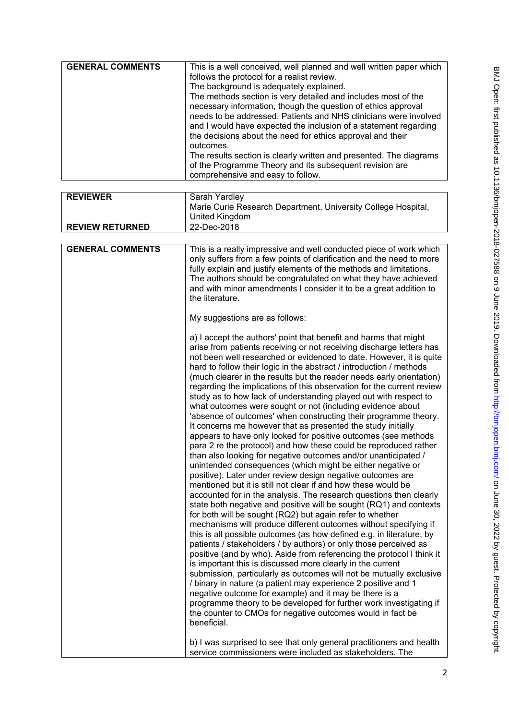| <b>GENERAL COMMENTS</b> | This is a well conceived, well planned and well written paper which                                                                                                                                                                                                                                                                  |
|-------------------------|--------------------------------------------------------------------------------------------------------------------------------------------------------------------------------------------------------------------------------------------------------------------------------------------------------------------------------------|
|                         | follows the protocol for a realist review.                                                                                                                                                                                                                                                                                           |
|                         | The background is adequately explained.                                                                                                                                                                                                                                                                                              |
|                         | The methods section is very detailed and includes most of the<br>necessary information, though the question of ethics approval<br>needs to be addressed. Patients and NHS clinicians were involved<br>and I would have expected the inclusion of a statement regarding<br>the decisions about the need for ethics approval and their |
|                         | outcomes.                                                                                                                                                                                                                                                                                                                            |
|                         | The results section is clearly written and presented. The diagrams                                                                                                                                                                                                                                                                   |
|                         | of the Programme Theory and its subsequent revision are<br>comprehensive and easy to follow.                                                                                                                                                                                                                                         |

| <b>REVIEWER</b>         | Sarah Yardley                                                                                                                                                                                                                                                                                                                                                                                                                                                                                                                                                                                                                                                                                                                                                                                                                                                                                                                                                                                                                                                                                                                                                                                                                                                                                                                                                                                                                                                                                                                                                                                                                                                                                                                                                                                                                                                                                                                                                                                                                         |
|-------------------------|---------------------------------------------------------------------------------------------------------------------------------------------------------------------------------------------------------------------------------------------------------------------------------------------------------------------------------------------------------------------------------------------------------------------------------------------------------------------------------------------------------------------------------------------------------------------------------------------------------------------------------------------------------------------------------------------------------------------------------------------------------------------------------------------------------------------------------------------------------------------------------------------------------------------------------------------------------------------------------------------------------------------------------------------------------------------------------------------------------------------------------------------------------------------------------------------------------------------------------------------------------------------------------------------------------------------------------------------------------------------------------------------------------------------------------------------------------------------------------------------------------------------------------------------------------------------------------------------------------------------------------------------------------------------------------------------------------------------------------------------------------------------------------------------------------------------------------------------------------------------------------------------------------------------------------------------------------------------------------------------------------------------------------------|
|                         | Marie Curie Research Department, University College Hospital,                                                                                                                                                                                                                                                                                                                                                                                                                                                                                                                                                                                                                                                                                                                                                                                                                                                                                                                                                                                                                                                                                                                                                                                                                                                                                                                                                                                                                                                                                                                                                                                                                                                                                                                                                                                                                                                                                                                                                                         |
|                         | United Kingdom                                                                                                                                                                                                                                                                                                                                                                                                                                                                                                                                                                                                                                                                                                                                                                                                                                                                                                                                                                                                                                                                                                                                                                                                                                                                                                                                                                                                                                                                                                                                                                                                                                                                                                                                                                                                                                                                                                                                                                                                                        |
| <b>REVIEW RETURNED</b>  | 22-Dec-2018                                                                                                                                                                                                                                                                                                                                                                                                                                                                                                                                                                                                                                                                                                                                                                                                                                                                                                                                                                                                                                                                                                                                                                                                                                                                                                                                                                                                                                                                                                                                                                                                                                                                                                                                                                                                                                                                                                                                                                                                                           |
|                         |                                                                                                                                                                                                                                                                                                                                                                                                                                                                                                                                                                                                                                                                                                                                                                                                                                                                                                                                                                                                                                                                                                                                                                                                                                                                                                                                                                                                                                                                                                                                                                                                                                                                                                                                                                                                                                                                                                                                                                                                                                       |
| <b>GENERAL COMMENTS</b> | This is a really impressive and well conducted piece of work which<br>only suffers from a few points of clarification and the need to more<br>fully explain and justify elements of the methods and limitations.<br>The authors should be congratulated on what they have achieved<br>and with minor amendments I consider it to be a great addition to<br>the literature.                                                                                                                                                                                                                                                                                                                                                                                                                                                                                                                                                                                                                                                                                                                                                                                                                                                                                                                                                                                                                                                                                                                                                                                                                                                                                                                                                                                                                                                                                                                                                                                                                                                            |
|                         | My suggestions are as follows:                                                                                                                                                                                                                                                                                                                                                                                                                                                                                                                                                                                                                                                                                                                                                                                                                                                                                                                                                                                                                                                                                                                                                                                                                                                                                                                                                                                                                                                                                                                                                                                                                                                                                                                                                                                                                                                                                                                                                                                                        |
|                         | a) I accept the authors' point that benefit and harms that might<br>arise from patients receiving or not receiving discharge letters has<br>not been well researched or evidenced to date. However, it is quite<br>hard to follow their logic in the abstract / introduction / methods<br>(much clearer in the results but the reader needs early orientation)<br>regarding the implications of this observation for the current review<br>study as to how lack of understanding played out with respect to<br>what outcomes were sought or not (including evidence about<br>'absence of outcomes' when constructing their programme theory.<br>It concerns me however that as presented the study initially<br>appears to have only looked for positive outcomes (see methods<br>para 2 re the protocol) and how these could be reproduced rather<br>than also looking for negative outcomes and/or unanticipated /<br>unintended consequences (which might be either negative or<br>positive). Later under review design negative outcomes are<br>mentioned but it is still not clear if and how these would be<br>accounted for in the analysis. The research questions then clearly<br>state both negative and positive will be sought (RQ1) and contexts<br>for both will be sought (RQ2) but again refer to whether<br>mechanisms will produce different outcomes without specifying if<br>this is all possible outcomes (as how defined e.g. in literature, by<br>patients / stakeholders / by authors) or only those perceived as<br>positive (and by who). Aside from referencing the protocol I think it<br>is important this is discussed more clearly in the current<br>submission, particularly as outcomes will not be mutually exclusive<br>/ binary in nature (a patient may experience 2 positive and 1<br>negative outcome for example) and it may be there is a<br>programme theory to be developed for further work investigating if<br>the counter to CMOs for negative outcomes would in fact be<br>beneficial. |
|                         | b) I was surprised to see that only general practitioners and health<br>service commissioners were included as stakeholders. The                                                                                                                                                                                                                                                                                                                                                                                                                                                                                                                                                                                                                                                                                                                                                                                                                                                                                                                                                                                                                                                                                                                                                                                                                                                                                                                                                                                                                                                                                                                                                                                                                                                                                                                                                                                                                                                                                                      |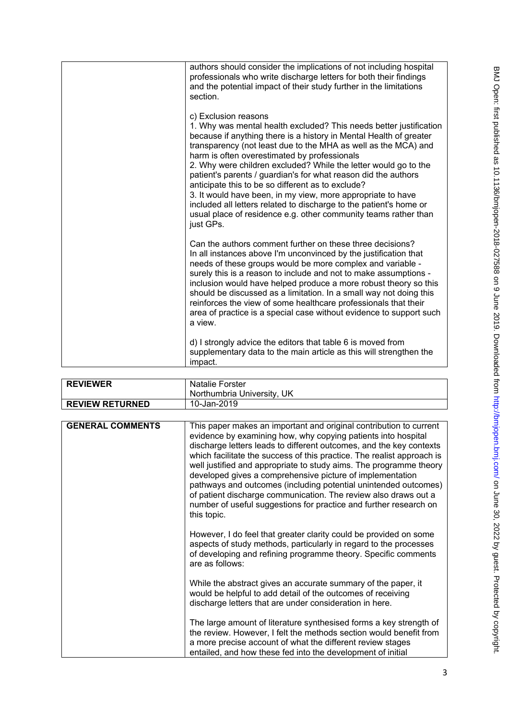| authors should consider the implications of not including hospital<br>professionals who write discharge letters for both their findings<br>and the potential impact of their study further in the limitations<br>section.                                                                                                                                                                                                                                                                                                                                                                                                                                                                         |
|---------------------------------------------------------------------------------------------------------------------------------------------------------------------------------------------------------------------------------------------------------------------------------------------------------------------------------------------------------------------------------------------------------------------------------------------------------------------------------------------------------------------------------------------------------------------------------------------------------------------------------------------------------------------------------------------------|
| c) Exclusion reasons<br>1. Why was mental health excluded? This needs better justification<br>because if anything there is a history in Mental Health of greater<br>transparency (not least due to the MHA as well as the MCA) and<br>harm is often overestimated by professionals<br>2. Why were children excluded? While the letter would go to the<br>patient's parents / guardian's for what reason did the authors<br>anticipate this to be so different as to exclude?<br>3. It would have been, in my view, more appropriate to have<br>included all letters related to discharge to the patient's home or<br>usual place of residence e.g. other community teams rather than<br>just GPs. |
| Can the authors comment further on these three decisions?<br>In all instances above I'm unconvinced by the justification that<br>needs of these groups would be more complex and variable -<br>surely this is a reason to include and not to make assumptions -<br>inclusion would have helped produce a more robust theory so this<br>should be discussed as a limitation. In a small way not doing this<br>reinforces the view of some healthcare professionals that their<br>area of practice is a special case without evidence to support such<br>a view.                                                                                                                                    |
| d) I strongly advice the editors that table 6 is moved from<br>supplementary data to the main article as this will strengthen the<br>impact.                                                                                                                                                                                                                                                                                                                                                                                                                                                                                                                                                      |

| <b>REVIEWER</b>        | <b>Natalie Forster</b><br>Northumbria University, UK |
|------------------------|------------------------------------------------------|
| <b>REVIEW RETURNED</b> | 10-Jan-2019                                          |

| <b>GENERAL COMMENTS</b> | This paper makes an important and original contribution to current<br>evidence by examining how, why copying patients into hospital<br>discharge letters leads to different outcomes, and the key contexts<br>which facilitate the success of this practice. The realist approach is<br>well justified and appropriate to study aims. The programme theory<br>developed gives a comprehensive picture of implementation<br>pathways and outcomes (including potential unintended outcomes)<br>of patient discharge communication. The review also draws out a<br>number of useful suggestions for practice and further research on<br>this topic. |
|-------------------------|---------------------------------------------------------------------------------------------------------------------------------------------------------------------------------------------------------------------------------------------------------------------------------------------------------------------------------------------------------------------------------------------------------------------------------------------------------------------------------------------------------------------------------------------------------------------------------------------------------------------------------------------------|
|                         | However, I do feel that greater clarity could be provided on some<br>aspects of study methods, particularly in regard to the processes<br>of developing and refining programme theory. Specific comments<br>are as follows:                                                                                                                                                                                                                                                                                                                                                                                                                       |
|                         | While the abstract gives an accurate summary of the paper, it<br>would be helpful to add detail of the outcomes of receiving<br>discharge letters that are under consideration in here.                                                                                                                                                                                                                                                                                                                                                                                                                                                           |
|                         | The large amount of literature synthesised forms a key strength of<br>the review. However, I felt the methods section would benefit from<br>a more precise account of what the different review stages<br>entailed, and how these fed into the development of initial                                                                                                                                                                                                                                                                                                                                                                             |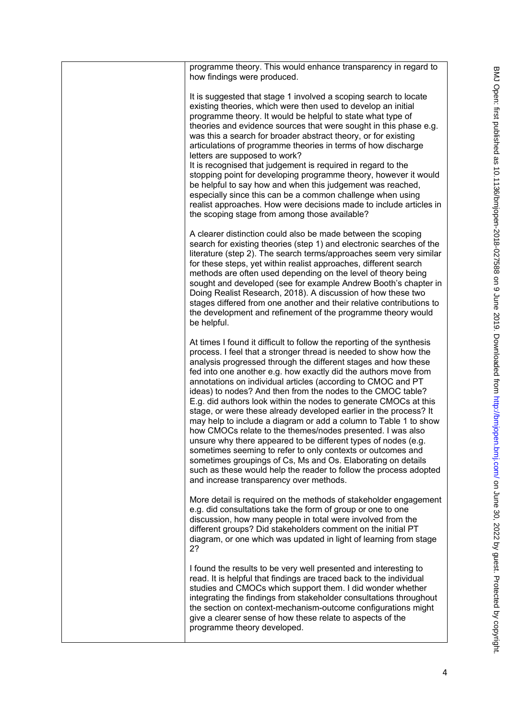| programme theory. This would enhance transparency in regard to<br>how findings were produced.                                                                                                                                                                                                                                                                                                                                                                                                                                                                                                                                                                                                                                                                                                                                                                                                                                                                                                                                                                                                                                                                                                                                                                                                                                                                                                  |
|------------------------------------------------------------------------------------------------------------------------------------------------------------------------------------------------------------------------------------------------------------------------------------------------------------------------------------------------------------------------------------------------------------------------------------------------------------------------------------------------------------------------------------------------------------------------------------------------------------------------------------------------------------------------------------------------------------------------------------------------------------------------------------------------------------------------------------------------------------------------------------------------------------------------------------------------------------------------------------------------------------------------------------------------------------------------------------------------------------------------------------------------------------------------------------------------------------------------------------------------------------------------------------------------------------------------------------------------------------------------------------------------|
| It is suggested that stage 1 involved a scoping search to locate<br>existing theories, which were then used to develop an initial<br>programme theory. It would be helpful to state what type of<br>theories and evidence sources that were sought in this phase e.g.<br>was this a search for broader abstract theory, or for existing<br>articulations of programme theories in terms of how discharge<br>letters are supposed to work?<br>It is recognised that judgement is required in regard to the<br>stopping point for developing programme theory, however it would<br>be helpful to say how and when this judgement was reached,<br>especially since this can be a common challenge when using<br>realist approaches. How were decisions made to include articles in<br>the scoping stage from among those available?<br>A clearer distinction could also be made between the scoping<br>search for existing theories (step 1) and electronic searches of the<br>literature (step 2). The search terms/approaches seem very similar<br>for these steps, yet within realist approaches, different search<br>methods are often used depending on the level of theory being<br>sought and developed (see for example Andrew Booth's chapter in<br>Doing Realist Research, 2018). A discussion of how these two<br>stages differed from one another and their relative contributions to |
| the development and refinement of the programme theory would<br>be helpful.                                                                                                                                                                                                                                                                                                                                                                                                                                                                                                                                                                                                                                                                                                                                                                                                                                                                                                                                                                                                                                                                                                                                                                                                                                                                                                                    |
| At times I found it difficult to follow the reporting of the synthesis<br>process. I feel that a stronger thread is needed to show how the<br>analysis progressed through the different stages and how these<br>fed into one another e.g. how exactly did the authors move from<br>annotations on individual articles (according to CMOC and PT<br>ideas) to nodes? And then from the nodes to the CMOC table?<br>E.g. did authors look within the nodes to generate CMOCs at this<br>stage, or were these already developed earlier in the process? It<br>may help to include a diagram or add a column to Table 1 to show<br>how CMOCs relate to the themes/nodes presented. I was also<br>unsure why there appeared to be different types of nodes (e.g.<br>sometimes seeming to refer to only contexts or outcomes and<br>sometimes groupings of Cs, Ms and Os. Elaborating on details<br>such as these would help the reader to follow the process adopted<br>and increase transparency over methods.                                                                                                                                                                                                                                                                                                                                                                                     |
| More detail is required on the methods of stakeholder engagement<br>e.g. did consultations take the form of group or one to one<br>discussion, how many people in total were involved from the<br>different groups? Did stakeholders comment on the initial PT<br>diagram, or one which was updated in light of learning from stage<br>2?                                                                                                                                                                                                                                                                                                                                                                                                                                                                                                                                                                                                                                                                                                                                                                                                                                                                                                                                                                                                                                                      |
| I found the results to be very well presented and interesting to<br>read. It is helpful that findings are traced back to the individual<br>studies and CMOCs which support them. I did wonder whether<br>integrating the findings from stakeholder consultations throughout<br>the section on context-mechanism-outcome configurations might<br>give a clearer sense of how these relate to aspects of the<br>programme theory developed.                                                                                                                                                                                                                                                                                                                                                                                                                                                                                                                                                                                                                                                                                                                                                                                                                                                                                                                                                      |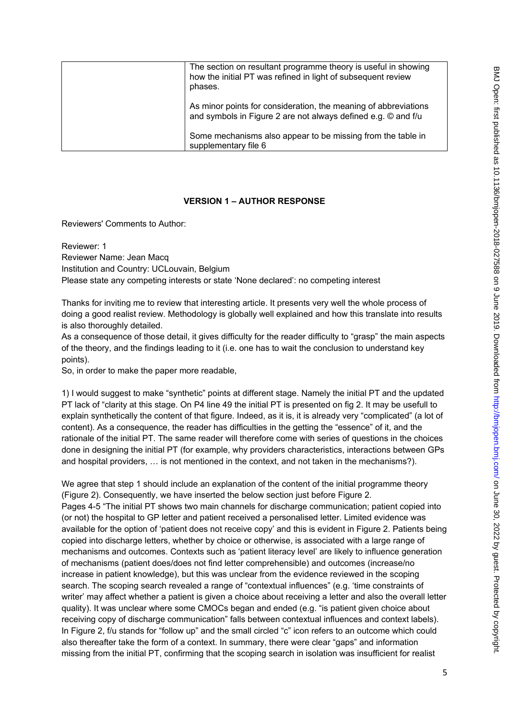| The section on resultant programme theory is useful in showing<br>how the initial PT was refined in light of subsequent review<br>phases. |
|-------------------------------------------------------------------------------------------------------------------------------------------|
| As minor points for consideration, the meaning of abbreviations<br>and symbols in Figure 2 are not always defined e.g. © and f/u          |
| Some mechanisms also appear to be missing from the table in<br>supplementary file 6                                                       |

### **VERSION 1 – AUTHOR RESPONSE**

Reviewers' Comments to Author:

Reviewer: 1 Reviewer Name: Jean Macq Institution and Country: UCLouvain, Belgium Please state any competing interests or state 'None declared': no competing interest

Thanks for inviting me to review that interesting article. It presents very well the whole process of doing a good realist review. Methodology is globally well explained and how this translate into results is also thoroughly detailed.

As a consequence of those detail, it gives difficulty for the reader difficulty to "grasp" the main aspects of the theory, and the findings leading to it (i.e. one has to wait the conclusion to understand key points).

So, in order to make the paper more readable,

1) I would suggest to make "synthetic" points at different stage. Namely the initial PT and the updated PT lack of "clarity at this stage. On P4 line 49 the initial PT is presented on fig 2. It may be usefull to explain synthetically the content of that figure. Indeed, as it is, it is already very "complicated" (a lot of content). As a consequence, the reader has difficulties in the getting the "essence" of it, and the rationale of the initial PT. The same reader will therefore come with series of questions in the choices done in designing the initial PT (for example, why providers characteristics, interactions between GPs and hospital providers, … is not mentioned in the context, and not taken in the mechanisms?).

We agree that step 1 should include an explanation of the content of the initial programme theory (Figure 2). Consequently, we have inserted the below section just before Figure 2. Pages 4-5 "The initial PT shows two main channels for discharge communication; patient copied into (or not) the hospital to GP letter and patient received a personalised letter. Limited evidence was available for the option of 'patient does not receive copy' and this is evident in Figure 2. Patients being copied into discharge letters, whether by choice or otherwise, is associated with a large range of mechanisms and outcomes. Contexts such as 'patient literacy level' are likely to influence generation of mechanisms (patient does/does not find letter comprehensible) and outcomes (increase/no increase in patient knowledge), but this was unclear from the evidence reviewed in the scoping search. The scoping search revealed a range of "contextual influences" (e.g. 'time constraints of writer' may affect whether a patient is given a choice about receiving a letter and also the overall letter quality). It was unclear where some CMOCs began and ended (e.g. "is patient given choice about receiving copy of discharge communication" falls between contextual influences and context labels). In Figure 2, f/u stands for "follow up" and the small circled "c" icon refers to an outcome which could also thereafter take the form of a context. In summary, there were clear "gaps" and information missing from the initial PT, confirming that the scoping search in isolation was insufficient for realist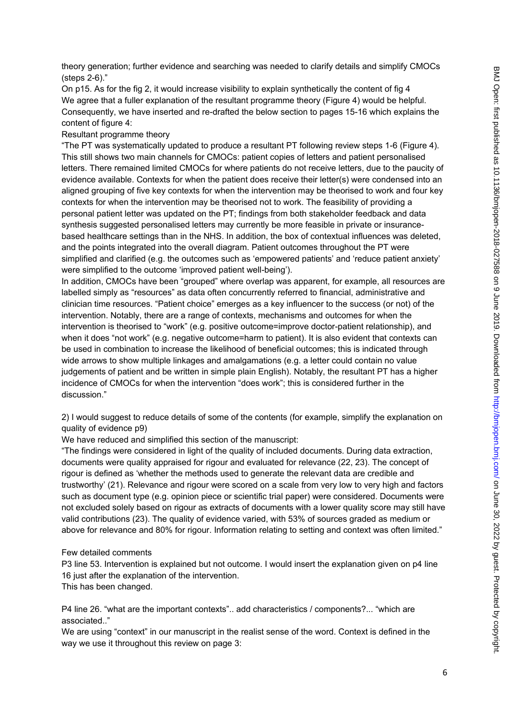theory generation; further evidence and searching was needed to clarify details and simplify CMOCs (steps 2-6)."

On p15. As for the fig 2, it would increase visibility to explain synthetically the content of fig 4 We agree that a fuller explanation of the resultant programme theory (Figure 4) would be helpful. Consequently, we have inserted and re-drafted the below section to pages 15-16 which explains the content of figure 4:

#### Resultant programme theory

"The PT was systematically updated to produce a resultant PT following review steps 1-6 (Figure 4). This still shows two main channels for CMOCs: patient copies of letters and patient personalised letters. There remained limited CMOCs for where patients do not receive letters, due to the paucity of evidence available. Contexts for when the patient does receive their letter(s) were condensed into an aligned grouping of five key contexts for when the intervention may be theorised to work and four key contexts for when the intervention may be theorised not to work. The feasibility of providing a personal patient letter was updated on the PT; findings from both stakeholder feedback and data synthesis suggested personalised letters may currently be more feasible in private or insurancebased healthcare settings than in the NHS. In addition, the box of contextual influences was deleted, and the points integrated into the overall diagram. Patient outcomes throughout the PT were simplified and clarified (e.g. the outcomes such as 'empowered patients' and 'reduce patient anxiety' were simplified to the outcome 'improved patient well-being').

In addition, CMOCs have been "grouped" where overlap was apparent, for example, all resources are labelled simply as "resources" as data often concurrently referred to financial, administrative and clinician time resources. "Patient choice" emerges as a key influencer to the success (or not) of the intervention. Notably, there are a range of contexts, mechanisms and outcomes for when the intervention is theorised to "work" (e.g. positive outcome=improve doctor-patient relationship), and when it does "not work" (e.g. negative outcome=harm to patient). It is also evident that contexts can be used in combination to increase the likelihood of beneficial outcomes; this is indicated through wide arrows to show multiple linkages and amalgamations (e.g. a letter could contain no value judgements of patient and be written in simple plain English). Notably, the resultant PT has a higher incidence of CMOCs for when the intervention "does work"; this is considered further in the discussion."

2) I would suggest to reduce details of some of the contents (for example, simplify the explanation on quality of evidence p9)

We have reduced and simplified this section of the manuscript:

"The findings were considered in light of the quality of included documents. During data extraction, documents were quality appraised for rigour and evaluated for relevance (22, 23). The concept of rigour is defined as 'whether the methods used to generate the relevant data are credible and trustworthy' (21). Relevance and rigour were scored on a scale from very low to very high and factors such as document type (e.g. opinion piece or scientific trial paper) were considered. Documents were not excluded solely based on rigour as extracts of documents with a lower quality score may still have valid contributions (23). The quality of evidence varied, with 53% of sources graded as medium or above for relevance and 80% for rigour. Information relating to setting and context was often limited."

#### Few detailed comments

P3 line 53. Intervention is explained but not outcome. I would insert the explanation given on p4 line 16 just after the explanation of the intervention.

This has been changed.

P4 line 26. "what are the important contexts".. add characteristics / components?... "which are associated.."

We are using "context" in our manuscript in the realist sense of the word. Context is defined in the way we use it throughout this review on page 3: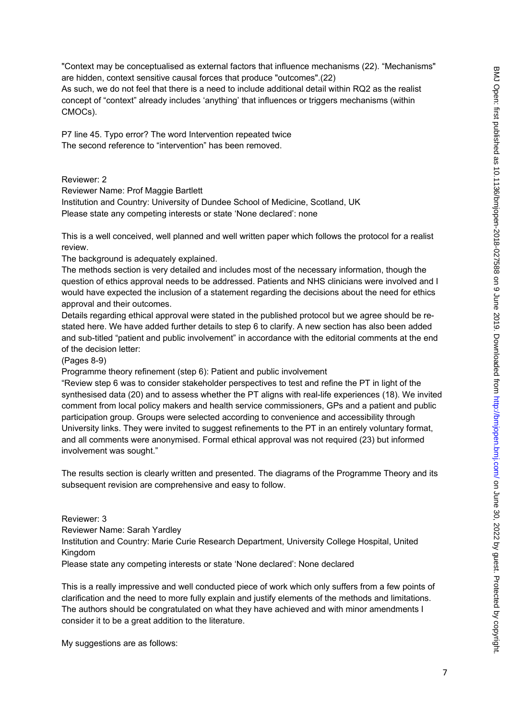"Context may be conceptualised as external factors that influence mechanisms (22). "Mechanisms" are hidden, context sensitive causal forces that produce "outcomes".(22) As such, we do not feel that there is a need to include additional detail within RQ2 as the realist concept of "context" already includes 'anything' that influences or triggers mechanisms (within CMOCs).

P7 line 45. Typo error? The word Intervention repeated twice The second reference to "intervention" has been removed.

Reviewer: 2

Reviewer Name: Prof Maggie Bartlett Institution and Country: University of Dundee School of Medicine, Scotland, UK Please state any competing interests or state 'None declared': none

This is a well conceived, well planned and well written paper which follows the protocol for a realist review.

The background is adequately explained.

The methods section is very detailed and includes most of the necessary information, though the question of ethics approval needs to be addressed. Patients and NHS clinicians were involved and I would have expected the inclusion of a statement regarding the decisions about the need for ethics approval and their outcomes.

Details regarding ethical approval were stated in the published protocol but we agree should be restated here. We have added further details to step 6 to clarify. A new section has also been added and sub-titled "patient and public involvement" in accordance with the editorial comments at the end of the decision letter:

(Pages 8-9)

Programme theory refinement (step 6): Patient and public involvement

"Review step 6 was to consider stakeholder perspectives to test and refine the PT in light of the synthesised data (20) and to assess whether the PT aligns with real-life experiences (18). We invited comment from local policy makers and health service commissioners, GPs and a patient and public participation group. Groups were selected according to convenience and accessibility through University links. They were invited to suggest refinements to the PT in an entirely voluntary format, and all comments were anonymised. Formal ethical approval was not required (23) but informed involvement was sought."

The results section is clearly written and presented. The diagrams of the Programme Theory and its subsequent revision are comprehensive and easy to follow.

Reviewer: 3 Reviewer Name: Sarah Yardley Institution and Country: Marie Curie Research Department, University College Hospital, United Kingdom Please state any competing interests or state 'None declared': None declared

This is a really impressive and well conducted piece of work which only suffers from a few points of clarification and the need to more fully explain and justify elements of the methods and limitations. The authors should be congratulated on what they have achieved and with minor amendments I consider it to be a great addition to the literature.

My suggestions are as follows: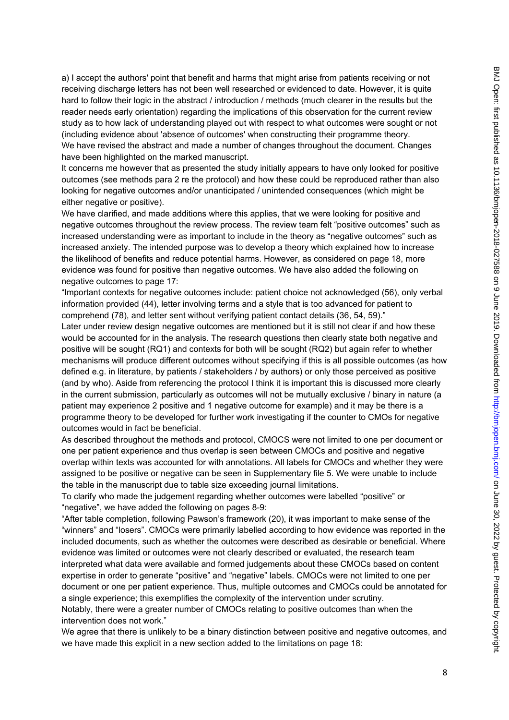a) I accept the authors' point that benefit and harms that might arise from patients receiving or not receiving discharge letters has not been well researched or evidenced to date. However, it is quite hard to follow their logic in the abstract / introduction / methods (much clearer in the results but the reader needs early orientation) regarding the implications of this observation for the current review study as to how lack of understanding played out with respect to what outcomes were sought or not (including evidence about 'absence of outcomes' when constructing their programme theory. We have revised the abstract and made a number of changes throughout the document. Changes have been highlighted on the marked manuscript.

It concerns me however that as presented the study initially appears to have only looked for positive outcomes (see methods para 2 re the protocol) and how these could be reproduced rather than also looking for negative outcomes and/or unanticipated / unintended consequences (which might be either negative or positive).

We have clarified, and made additions where this applies, that we were looking for positive and negative outcomes throughout the review process. The review team felt "positive outcomes" such as increased understanding were as important to include in the theory as "negative outcomes" such as increased anxiety. The intended purpose was to develop a theory which explained how to increase the likelihood of benefits and reduce potential harms. However, as considered on page 18, more evidence was found for positive than negative outcomes. We have also added the following on negative outcomes to page 17:

"Important contexts for negative outcomes include: patient choice not acknowledged (56), only verbal information provided (44), letter involving terms and a style that is too advanced for patient to comprehend (78), and letter sent without verifying patient contact details (36, 54, 59)."

Later under review design negative outcomes are mentioned but it is still not clear if and how these would be accounted for in the analysis. The research questions then clearly state both negative and positive will be sought (RQ1) and contexts for both will be sought (RQ2) but again refer to whether mechanisms will produce different outcomes without specifying if this is all possible outcomes (as how defined e.g. in literature, by patients / stakeholders / by authors) or only those perceived as positive (and by who). Aside from referencing the protocol I think it is important this is discussed more clearly in the current submission, particularly as outcomes will not be mutually exclusive / binary in nature (a patient may experience 2 positive and 1 negative outcome for example) and it may be there is a programme theory to be developed for further work investigating if the counter to CMOs for negative outcomes would in fact be beneficial.

As described throughout the methods and protocol, CMOCS were not limited to one per document or one per patient experience and thus overlap is seen between CMOCs and positive and negative overlap within texts was accounted for with annotations. All labels for CMOCs and whether they were assigned to be positive or negative can be seen in Supplementary file 5. We were unable to include the table in the manuscript due to table size exceeding journal limitations.

To clarify who made the judgement regarding whether outcomes were labelled "positive" or "negative", we have added the following on pages 8-9:

"After table completion, following Pawson's framework (20), it was important to make sense of the "winners" and "losers". CMOCs were primarily labelled according to how evidence was reported in the included documents, such as whether the outcomes were described as desirable or beneficial. Where evidence was limited or outcomes were not clearly described or evaluated, the research team interpreted what data were available and formed judgements about these CMOCs based on content expertise in order to generate "positive" and "negative" labels. CMOCs were not limited to one per document or one per patient experience. Thus, multiple outcomes and CMOCs could be annotated for a single experience; this exemplifies the complexity of the intervention under scrutiny. Notably, there were a greater number of CMOCs relating to positive outcomes than when the intervention does not work."

We agree that there is unlikely to be a binary distinction between positive and negative outcomes, and we have made this explicit in a new section added to the limitations on page 18: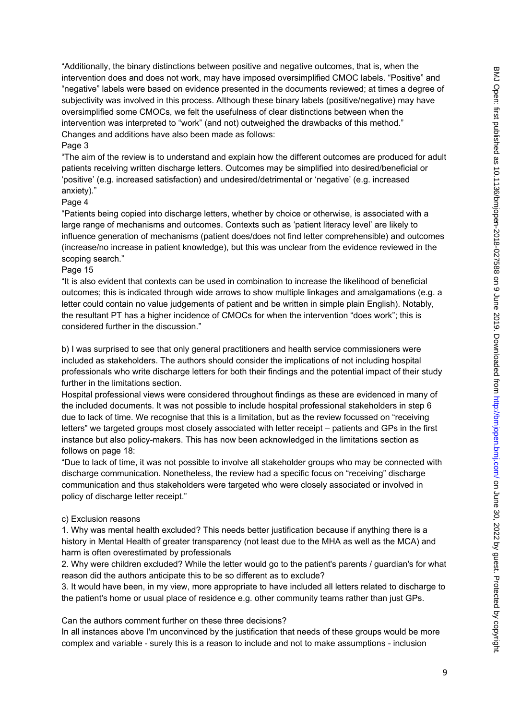"Additionally, the binary distinctions between positive and negative outcomes, that is, when the intervention does and does not work, may have imposed oversimplified CMOC labels. "Positive" and "negative" labels were based on evidence presented in the documents reviewed; at times a degree of subjectivity was involved in this process. Although these binary labels (positive/negative) may have oversimplified some CMOCs, we felt the usefulness of clear distinctions between when the intervention was interpreted to "work" (and not) outweighed the drawbacks of this method." Changes and additions have also been made as follows:

# Page 3

"The aim of the review is to understand and explain how the different outcomes are produced for adult patients receiving written discharge letters. Outcomes may be simplified into desired/beneficial or 'positive' (e.g. increased satisfaction) and undesired/detrimental or 'negative' (e.g. increased anxiety)."

# Page 4

"Patients being copied into discharge letters, whether by choice or otherwise, is associated with a large range of mechanisms and outcomes. Contexts such as 'patient literacy level' are likely to influence generation of mechanisms (patient does/does not find letter comprehensible) and outcomes (increase/no increase in patient knowledge), but this was unclear from the evidence reviewed in the scoping search."

# Page 15

"It is also evident that contexts can be used in combination to increase the likelihood of beneficial outcomes; this is indicated through wide arrows to show multiple linkages and amalgamations (e.g. a letter could contain no value judgements of patient and be written in simple plain English). Notably, the resultant PT has a higher incidence of CMOCs for when the intervention "does work"; this is considered further in the discussion."

b) I was surprised to see that only general practitioners and health service commissioners were included as stakeholders. The authors should consider the implications of not including hospital professionals who write discharge letters for both their findings and the potential impact of their study further in the limitations section.

Hospital professional views were considered throughout findings as these are evidenced in many of the included documents. It was not possible to include hospital professional stakeholders in step 6 due to lack of time. We recognise that this is a limitation, but as the review focussed on "receiving letters" we targeted groups most closely associated with letter receipt – patients and GPs in the first instance but also policy-makers. This has now been acknowledged in the limitations section as follows on page 18:

"Due to lack of time, it was not possible to involve all stakeholder groups who may be connected with discharge communication. Nonetheless, the review had a specific focus on "receiving" discharge communication and thus stakeholders were targeted who were closely associated or involved in policy of discharge letter receipt."

# c) Exclusion reasons

1. Why was mental health excluded? This needs better justification because if anything there is a history in Mental Health of greater transparency (not least due to the MHA as well as the MCA) and harm is often overestimated by professionals

2. Why were children excluded? While the letter would go to the patient's parents / guardian's for what reason did the authors anticipate this to be so different as to exclude?

3. It would have been, in my view, more appropriate to have included all letters related to discharge to the patient's home or usual place of residence e.g. other community teams rather than just GPs.

Can the authors comment further on these three decisions?

In all instances above I'm unconvinced by the justification that needs of these groups would be more complex and variable - surely this is a reason to include and not to make assumptions - inclusion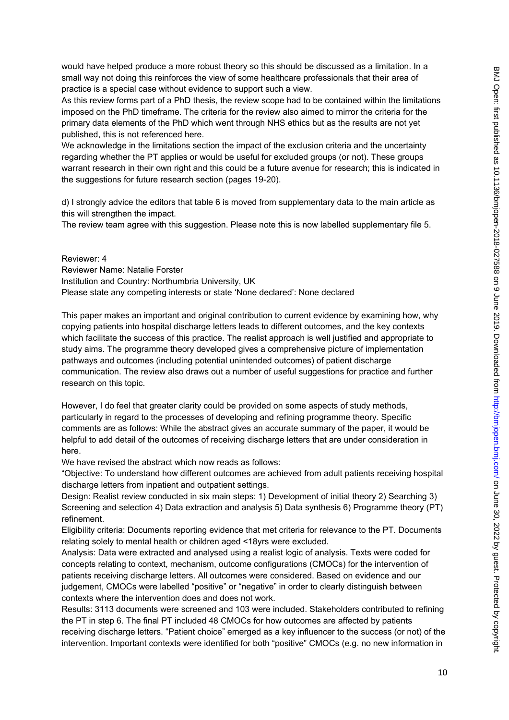would have helped produce a more robust theory so this should be discussed as a limitation. In a small way not doing this reinforces the view of some healthcare professionals that their area of practice is a special case without evidence to support such a view.

As this review forms part of a PhD thesis, the review scope had to be contained within the limitations imposed on the PhD timeframe. The criteria for the review also aimed to mirror the criteria for the primary data elements of the PhD which went through NHS ethics but as the results are not yet published, this is not referenced here.

We acknowledge in the limitations section the impact of the exclusion criteria and the uncertainty regarding whether the PT applies or would be useful for excluded groups (or not). These groups warrant research in their own right and this could be a future avenue for research; this is indicated in the suggestions for future research section (pages 19-20).

d) I strongly advice the editors that table 6 is moved from supplementary data to the main article as this will strengthen the impact.

The review team agree with this suggestion. Please note this is now labelled supplementary file 5.

Reviewer: 4 Reviewer Name: Natalie Forster Institution and Country: Northumbria University, UK Please state any competing interests or state 'None declared': None declared

This paper makes an important and original contribution to current evidence by examining how, why copying patients into hospital discharge letters leads to different outcomes, and the key contexts which facilitate the success of this practice. The realist approach is well justified and appropriate to study aims. The programme theory developed gives a comprehensive picture of implementation pathways and outcomes (including potential unintended outcomes) of patient discharge communication. The review also draws out a number of useful suggestions for practice and further research on this topic.

However, I do feel that greater clarity could be provided on some aspects of study methods, particularly in regard to the processes of developing and refining programme theory. Specific comments are as follows: While the abstract gives an accurate summary of the paper, it would be helpful to add detail of the outcomes of receiving discharge letters that are under consideration in here.

We have revised the abstract which now reads as follows:

"Objective: To understand how different outcomes are achieved from adult patients receiving hospital discharge letters from inpatient and outpatient settings.

Design: Realist review conducted in six main steps: 1) Development of initial theory 2) Searching 3) Screening and selection 4) Data extraction and analysis 5) Data synthesis 6) Programme theory (PT) refinement.

Eligibility criteria: Documents reporting evidence that met criteria for relevance to the PT. Documents relating solely to mental health or children aged <18yrs were excluded.

Analysis: Data were extracted and analysed using a realist logic of analysis. Texts were coded for concepts relating to context, mechanism, outcome configurations (CMOCs) for the intervention of patients receiving discharge letters. All outcomes were considered. Based on evidence and our judgement, CMOCs were labelled "positive" or "negative" in order to clearly distinguish between contexts where the intervention does and does not work.

Results: 3113 documents were screened and 103 were included. Stakeholders contributed to refining the PT in step 6. The final PT included 48 CMOCs for how outcomes are affected by patients receiving discharge letters. "Patient choice" emerged as a key influencer to the success (or not) of the intervention. Important contexts were identified for both "positive" CMOCs (e.g. no new information in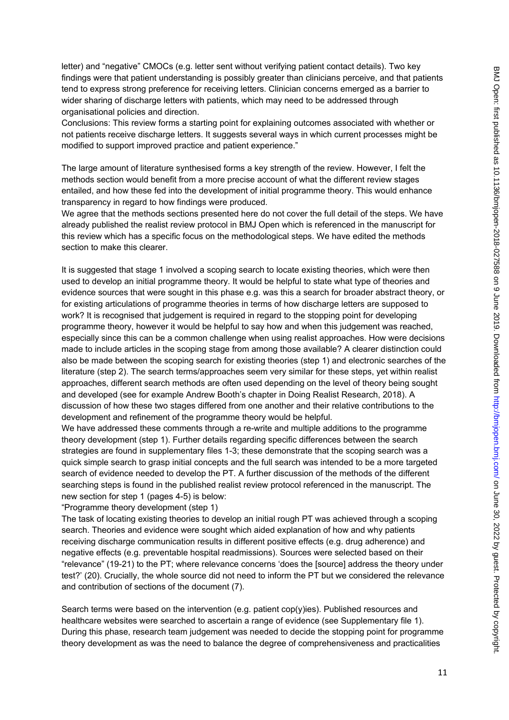letter) and "negative" CMOCs (e.g. letter sent without verifying patient contact details). Two key findings were that patient understanding is possibly greater than clinicians perceive, and that patients tend to express strong preference for receiving letters. Clinician concerns emerged as a barrier to wider sharing of discharge letters with patients, which may need to be addressed through organisational policies and direction.

Conclusions: This review forms a starting point for explaining outcomes associated with whether or not patients receive discharge letters. It suggests several ways in which current processes might be modified to support improved practice and patient experience."

The large amount of literature synthesised forms a key strength of the review. However, I felt the methods section would benefit from a more precise account of what the different review stages entailed, and how these fed into the development of initial programme theory. This would enhance transparency in regard to how findings were produced.

We agree that the methods sections presented here do not cover the full detail of the steps. We have already published the realist review protocol in BMJ Open which is referenced in the manuscript for this review which has a specific focus on the methodological steps. We have edited the methods section to make this clearer.

It is suggested that stage 1 involved a scoping search to locate existing theories, which were then used to develop an initial programme theory. It would be helpful to state what type of theories and evidence sources that were sought in this phase e.g. was this a search for broader abstract theory, or for existing articulations of programme theories in terms of how discharge letters are supposed to work? It is recognised that judgement is required in regard to the stopping point for developing programme theory, however it would be helpful to say how and when this judgement was reached, especially since this can be a common challenge when using realist approaches. How were decisions made to include articles in the scoping stage from among those available? A clearer distinction could also be made between the scoping search for existing theories (step 1) and electronic searches of the literature (step 2). The search terms/approaches seem very similar for these steps, yet within realist approaches, different search methods are often used depending on the level of theory being sought and developed (see for example Andrew Booth's chapter in Doing Realist Research, 2018). A discussion of how these two stages differed from one another and their relative contributions to the development and refinement of the programme theory would be helpful.

We have addressed these comments through a re-write and multiple additions to the programme theory development (step 1). Further details regarding specific differences between the search strategies are found in supplementary files 1-3; these demonstrate that the scoping search was a quick simple search to grasp initial concepts and the full search was intended to be a more targeted search of evidence needed to develop the PT. A further discussion of the methods of the different searching steps is found in the published realist review protocol referenced in the manuscript. The new section for step 1 (pages 4-5) is below:

"Programme theory development (step 1)

The task of locating existing theories to develop an initial rough PT was achieved through a scoping search. Theories and evidence were sought which aided explanation of how and why patients receiving discharge communication results in different positive effects (e.g. drug adherence) and negative effects (e.g. preventable hospital readmissions). Sources were selected based on their "relevance" (19-21) to the PT; where relevance concerns 'does the [source] address the theory under test?' (20). Crucially, the whole source did not need to inform the PT but we considered the relevance and contribution of sections of the document (7).

Search terms were based on the intervention (e.g. patient cop(y)ies). Published resources and healthcare websites were searched to ascertain a range of evidence (see Supplementary file 1). During this phase, research team judgement was needed to decide the stopping point for programme theory development as was the need to balance the degree of comprehensiveness and practicalities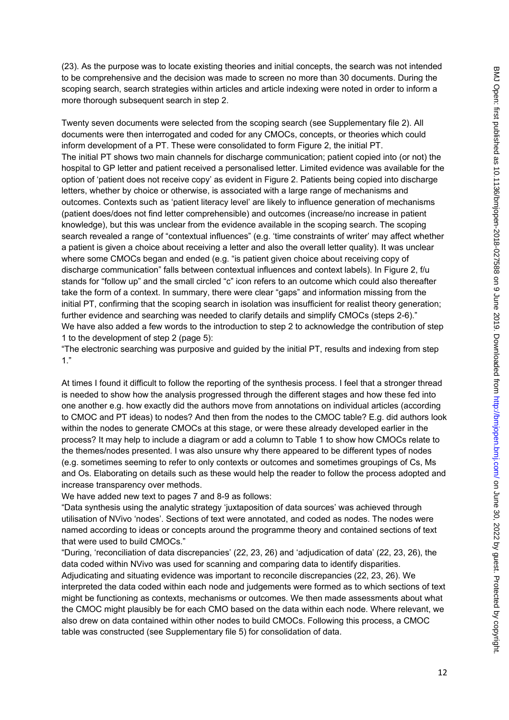(23). As the purpose was to locate existing theories and initial concepts, the search was not intended to be comprehensive and the decision was made to screen no more than 30 documents. During the scoping search, search strategies within articles and article indexing were noted in order to inform a more thorough subsequent search in step 2.

Twenty seven documents were selected from the scoping search (see Supplementary file 2). All documents were then interrogated and coded for any CMOCs, concepts, or theories which could inform development of a PT. These were consolidated to form Figure 2, the initial PT. The initial PT shows two main channels for discharge communication; patient copied into (or not) the hospital to GP letter and patient received a personalised letter. Limited evidence was available for the option of 'patient does not receive copy' as evident in Figure 2. Patients being copied into discharge letters, whether by choice or otherwise, is associated with a large range of mechanisms and outcomes. Contexts such as 'patient literacy level' are likely to influence generation of mechanisms (patient does/does not find letter comprehensible) and outcomes (increase/no increase in patient knowledge), but this was unclear from the evidence available in the scoping search. The scoping search revealed a range of "contextual influences" (e.g. 'time constraints of writer' may affect whether a patient is given a choice about receiving a letter and also the overall letter quality). It was unclear where some CMOCs began and ended (e.g. "is patient given choice about receiving copy of discharge communication" falls between contextual influences and context labels). In Figure 2, f/u stands for "follow up" and the small circled "c" icon refers to an outcome which could also thereafter take the form of a context. In summary, there were clear "gaps" and information missing from the initial PT, confirming that the scoping search in isolation was insufficient for realist theory generation; further evidence and searching was needed to clarify details and simplify CMOCs (steps 2-6)." We have also added a few words to the introduction to step 2 to acknowledge the contribution of step 1 to the development of step 2 (page 5):

"The electronic searching was purposive and guided by the initial PT, results and indexing from step 1."

At times I found it difficult to follow the reporting of the synthesis process. I feel that a stronger thread is needed to show how the analysis progressed through the different stages and how these fed into one another e.g. how exactly did the authors move from annotations on individual articles (according to CMOC and PT ideas) to nodes? And then from the nodes to the CMOC table? E.g. did authors look within the nodes to generate CMOCs at this stage, or were these already developed earlier in the process? It may help to include a diagram or add a column to Table 1 to show how CMOCs relate to the themes/nodes presented. I was also unsure why there appeared to be different types of nodes (e.g. sometimes seeming to refer to only contexts or outcomes and sometimes groupings of Cs, Ms and Os. Elaborating on details such as these would help the reader to follow the process adopted and increase transparency over methods.

We have added new text to pages 7 and 8-9 as follows:

"Data synthesis using the analytic strategy 'juxtaposition of data sources' was achieved through utilisation of NVivo 'nodes'. Sections of text were annotated, and coded as nodes. The nodes were named according to ideas or concepts around the programme theory and contained sections of text that were used to build CMOCs."

"During, 'reconciliation of data discrepancies' (22, 23, 26) and 'adjudication of data' (22, 23, 26), the data coded within NVivo was used for scanning and comparing data to identify disparities. Adjudicating and situating evidence was important to reconcile discrepancies (22, 23, 26). We interpreted the data coded within each node and judgements were formed as to which sections of text might be functioning as contexts, mechanisms or outcomes. We then made assessments about what the CMOC might plausibly be for each CMO based on the data within each node. Where relevant, we also drew on data contained within other nodes to build CMOCs. Following this process, a CMOC table was constructed (see Supplementary file 5) for consolidation of data.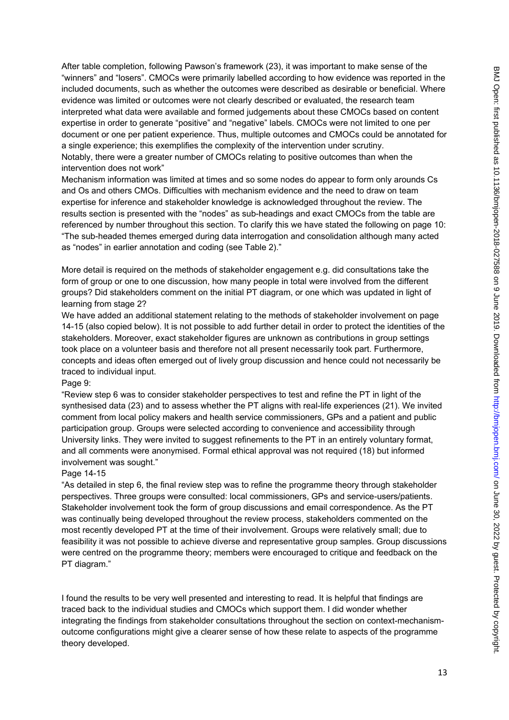After table completion, following Pawson's framework (23), it was important to make sense of the "winners" and "losers". CMOCs were primarily labelled according to how evidence was reported in the included documents, such as whether the outcomes were described as desirable or beneficial. Where evidence was limited or outcomes were not clearly described or evaluated, the research team interpreted what data were available and formed judgements about these CMOCs based on content expertise in order to generate "positive" and "negative" labels. CMOCs were not limited to one per document or one per patient experience. Thus, multiple outcomes and CMOCs could be annotated for a single experience; this exemplifies the complexity of the intervention under scrutiny. Notably, there were a greater number of CMOCs relating to positive outcomes than when the intervention does not work"

Mechanism information was limited at times and so some nodes do appear to form only arounds Cs and Os and others CMOs. Difficulties with mechanism evidence and the need to draw on team expertise for inference and stakeholder knowledge is acknowledged throughout the review. The results section is presented with the "nodes" as sub-headings and exact CMOCs from the table are referenced by number throughout this section. To clarify this we have stated the following on page 10: "The sub-headed themes emerged during data interrogation and consolidation although many acted as "nodes" in earlier annotation and coding (see Table 2)."

More detail is required on the methods of stakeholder engagement e.g. did consultations take the form of group or one to one discussion, how many people in total were involved from the different groups? Did stakeholders comment on the initial PT diagram, or one which was updated in light of learning from stage 2?

We have added an additional statement relating to the methods of stakeholder involvement on page 14-15 (also copied below). It is not possible to add further detail in order to protect the identities of the stakeholders. Moreover, exact stakeholder figures are unknown as contributions in group settings took place on a volunteer basis and therefore not all present necessarily took part. Furthermore, concepts and ideas often emerged out of lively group discussion and hence could not necessarily be traced to individual input.

#### Page 9:

"Review step 6 was to consider stakeholder perspectives to test and refine the PT in light of the synthesised data (23) and to assess whether the PT aligns with real-life experiences (21). We invited comment from local policy makers and health service commissioners, GPs and a patient and public participation group. Groups were selected according to convenience and accessibility through University links. They were invited to suggest refinements to the PT in an entirely voluntary format. and all comments were anonymised. Formal ethical approval was not required (18) but informed involvement was sought."

#### Page 14-15

"As detailed in step 6, the final review step was to refine the programme theory through stakeholder perspectives. Three groups were consulted: local commissioners, GPs and service-users/patients. Stakeholder involvement took the form of group discussions and email correspondence. As the PT was continually being developed throughout the review process, stakeholders commented on the most recently developed PT at the time of their involvement. Groups were relatively small; due to feasibility it was not possible to achieve diverse and representative group samples. Group discussions were centred on the programme theory; members were encouraged to critique and feedback on the PT diagram."

I found the results to be very well presented and interesting to read. It is helpful that findings are traced back to the individual studies and CMOCs which support them. I did wonder whether integrating the findings from stakeholder consultations throughout the section on context-mechanismoutcome configurations might give a clearer sense of how these relate to aspects of the programme theory developed.